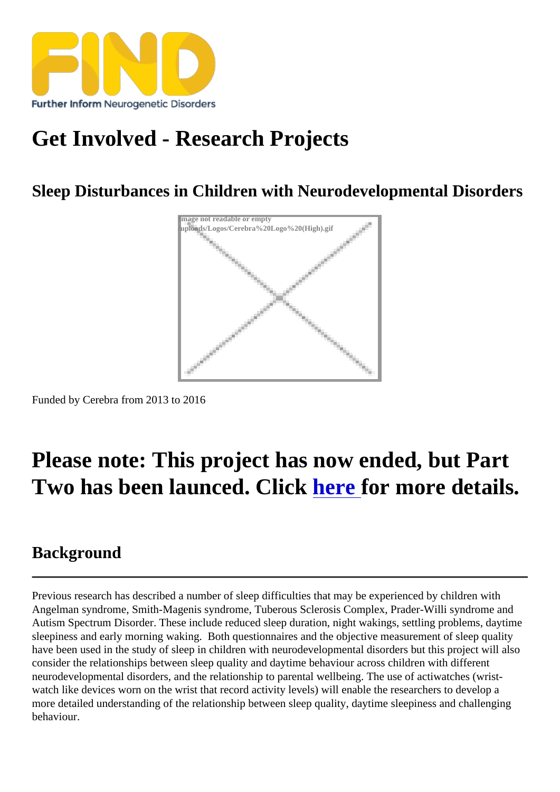# [Get Involved - Res](https://findresources.co.uk)earch Projects

Sleep Disturbances in Children with Neurodevelopmental Disorders

Image not readable or empty /uploads/Logos/Cerebra%20Logo%20(High).gif

Funded by Cerebra from 2013 to 2016

## Please note: This project has now ended, but Part Two has been launced. Click here for more details.

#### **Background**

Previous research has described a number of sleep difficulties that may be experienced by children with Angelman syndrome, Smith-Magenis syndrome, Tuberous Sclerosis Complex, Prader-Willi syndrome and Autism Spectrum Disorder. These include reduced sleep duration, night wakings, settling problems, daytime sleepiness and early morning waking. Both questionnaires and the objective measurement of sleep quality have been used in the study of sleep in children with neurodevelopmental disorders but this project will also consider the elationships between sleep quality and daytime behaviour children with different neurodevelopmental disorders, and the relationship to parental wellbeing. The use of actiwatches (wristwatch like devices worn on the wrist that record activity levels) will enable the researchers to develop a more detailed understanding the relationship between sleep quality, daytime sleepiness and challenging behaviour.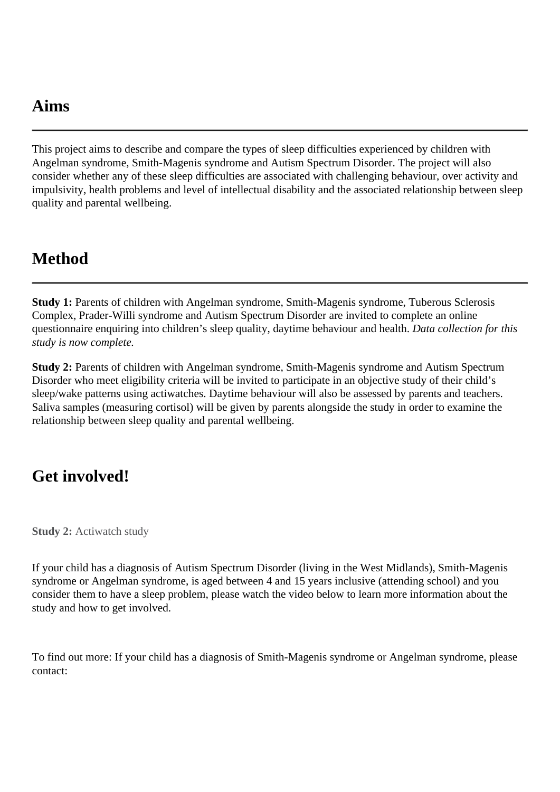### **Aims**

This project aims to describe and compare the types of sleep difficulties experienced by children with Angelman syndrome, Smith-Magenis syndrome and Autism Spectrum Disorder. The project will also consider whether any of these sleep difficulties are associated with challenging behaviour, over activity and impulsivity, health problems and level of intellectual disability and the associated relationship between sleep quality and parental wellbeing.

### **Method**

**Study 1:** Parents of children with Angelman syndrome, Smith-Magenis syndrome, Tuberous Sclerosis Complex, Prader-Willi syndrome and Autism Spectrum Disorder are invited to complete an online questionnaire enquiring into children's sleep quality, daytime behaviour and health. *Data collection for this study is now complete.*

**Study 2:** Parents of children with Angelman syndrome, Smith-Magenis syndrome and Autism Spectrum Disorder who meet eligibility criteria will be invited to participate in an objective study of their child's sleep/wake patterns using actiwatches. Daytime behaviour will also be assessed by parents and teachers. Saliva samples (measuring cortisol) will be given by parents alongside the study in order to examine the relationship between sleep quality and parental wellbeing.

#### **Get involved!**

**Study 2:** Actiwatch study

If your child has a diagnosis of Autism Spectrum Disorder (living in the West Midlands), Smith-Magenis syndrome or Angelman syndrome, is aged between 4 and 15 years inclusive (attending school) and you consider them to have a sleep problem, please watch the video below to learn more information about the study and how to get involved.

To find out more: If your child has a diagnosis of Smith-Magenis syndrome or Angelman syndrome, please contact: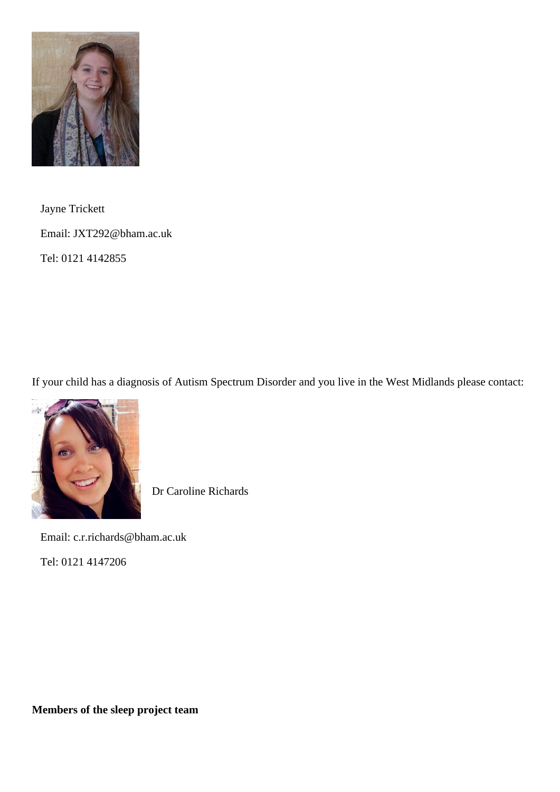

 Jayne Trickett Email: JXT292@bham.ac.uk Tel: 0121 4142855

If your child has a diagnosis of Autism Spectrum Disorder and you live in the West Midlands please contact:



Dr Caroline Richards

Email: c.r.richards@bham.ac.uk

Tel: 0121 4147206

**Members of the sleep project team**